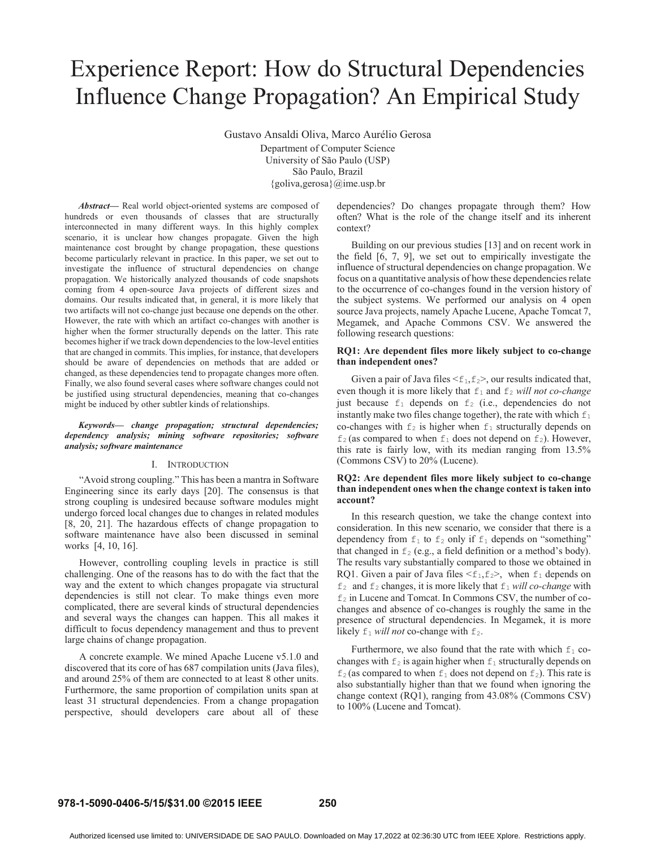# Experience Report: How do Structural Dependencies Influence Change Propagation? An Empirical Study

Gustavo Ansaldi Oliva, Marco Aurélio Gerosa

Department of Computer Science University of São Paulo (USP) São Paulo, Brazil {goliva,gerosa}@ime.usp.br

*Abstract***—** Real world object-oriented systems are composed of hundreds or even thousands of classes that are structurally interconnected in many different ways. In this highly complex scenario, it is unclear how changes propagate. Given the high maintenance cost brought by change propagation, these questions become particularly relevant in practice. In this paper, we set out to investigate the influence of structural dependencies on change propagation. We historically analyzed thousands of code snapshots coming from 4 open-source Java projects of different sizes and domains. Our results indicated that, in general, it is more likely that two artifacts will not co-change just because one depends on the other. However, the rate with which an artifact co-changes with another is higher when the former structurally depends on the latter. This rate becomes higher if we track down dependencies to the low-level entities that are changed in commits. This implies, for instance, that developers should be aware of dependencies on methods that are added or changed, as these dependencies tend to propagate changes more often. Finally, we also found several cases where software changes could not be justified using structural dependencies, meaning that co-changes might be induced by other subtler kinds of relationships.

*Keywords— change propagation; structural dependencies; dependency analysis; mining software repositories; software analysis; software maintenance* 

#### I. INTRODUCTION

"Avoid strong coupling." This has been a mantra in Software Engineering since its early days [20]. The consensus is that strong coupling is undesired because software modules might undergo forced local changes due to changes in related modules [8, 20, 21]. The hazardous effects of change propagation to software maintenance have also been discussed in seminal works [4, 10, 16].

However, controlling coupling levels in practice is still challenging. One of the reasons has to do with the fact that the way and the extent to which changes propagate via structural dependencies is still not clear. To make things even more complicated, there are several kinds of structural dependencies and several ways the changes can happen. This all makes it difficult to focus dependency management and thus to prevent large chains of change propagation.

A concrete example. We mined Apache Lucene v5.1.0 and discovered that its core of has 687 compilation units (Java files), and around 25% of them are connected to at least 8 other units. Furthermore, the same proportion of compilation units span at least 31 structural dependencies. From a change propagation perspective, should developers care about all of these

dependencies? Do changes propagate through them? How often? What is the role of the change itself and its inherent context?

Building on our previous studies [13] and on recent work in the field [6, 7, 9], we set out to empirically investigate the influence of structural dependencies on change propagation. We focus on a quantitative analysis of how these dependencies relate to the occurrence of co-changes found in the version history of the subject systems. We performed our analysis on 4 open source Java projects, namely Apache Lucene, Apache Tomcat 7, Megamek, and Apache Commons CSV. We answered the following research questions:

#### **RQ1: Are dependent files more likely subject to co-change than independent ones?**

Given a pair of Java files  $\leq f_1, f_2$ , our results indicated that, even though it is more likely that  $f_1$  and  $f_2$  *will not co-change* just because  $f_1$  depends on  $f_2$  (i.e., dependencies do not instantly make two files change together), the rate with which  $f_1$ co-changes with  $f_2$  is higher when  $f_1$  structurally depends on  $f_2$  (as compared to when  $f_1$  does not depend on  $f_2$ ). However, this rate is fairly low, with its median ranging from 13.5% (Commons CSV) to 20% (Lucene).

# **RQ2: Are dependent files more likely subject to co-change than independent ones when the change context is taken into account?**

 In this research question, we take the change context into consideration. In this new scenario, we consider that there is a dependency from  $f_1$  to  $f_2$  only if  $f_1$  depends on "something" that changed in  $f_2$  (e.g., a field definition or a method's body). The results vary substantially compared to those we obtained in RQ1. Given a pair of Java files  $\leq f_1, f_2$ , when  $f_1$  depends on  $f_2$  and  $f_2$  changes, it is more likely that  $f_1$  *will co-change* with  $f_2$  in Lucene and Tomcat. In Commons CSV, the number of cochanges and absence of co-changes is roughly the same in the presence of structural dependencies. In Megamek, it is more likely  $f_1$  *will not* co-change with  $f_2$ .

Furthermore, we also found that the rate with which  $f_1$  cochanges with  $f_2$  is again higher when  $f_1$  structurally depends on  $f_2$  (as compared to when  $f_1$  does not depend on  $f_2$ ). This rate is also substantially higher than that we found when ignoring the change context (RQ1), ranging from 43.08% (Commons CSV) to 100% (Lucene and Tomcat).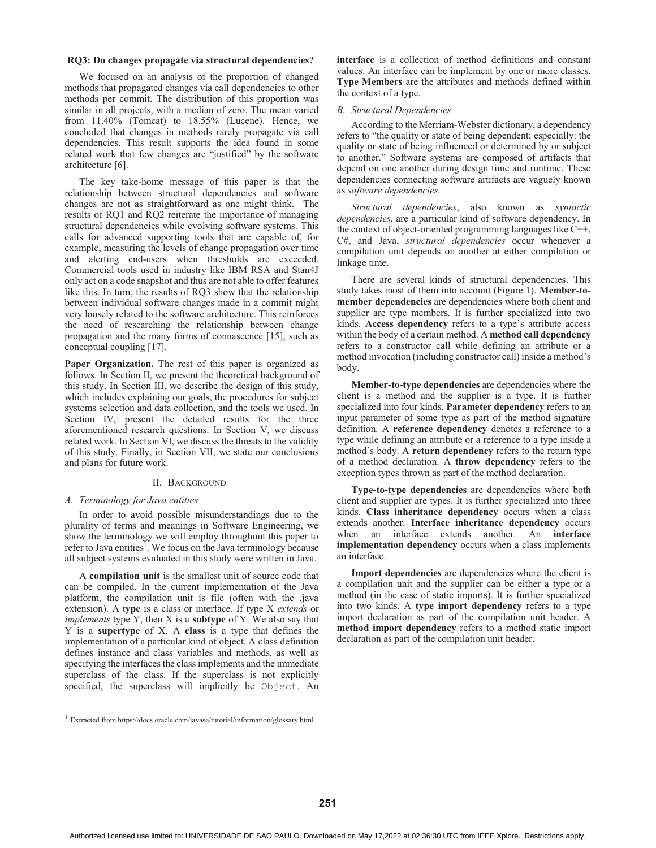#### **RQ3: Do changes propagate via structural dependencies?**

 We focused on an analysis of the proportion of changed methods that propagated changes via call dependencies to other methods per commit. The distribution of this proportion was similar in all projects, with a median of zero. The mean varied from  $11.40\%$  (Tomcat) to  $18.55\%$  (Lucene). Hence, we concluded that changes in methods rarely propagate via call dependencies. This result supports the idea found in some related work that few changes are "justified" by the software architecture [6].

 The key take-home message of this paper is that the relationship between structural dependencies and software changes are not as straightforward as one might think. The results of RQ1 and RQ2 reiterate the importance of managing structural dependencies while evolving software systems. This calls for advanced supporting tools that are capable of, for example, measuring the levels of change propagation over time and alerting end-users when thresholds are exceeded. Commercial tools used in industry like IBM RSA and Stan4J only act on a code snapshot and thus are not able to offer features like this. In turn, the results of RQ3 show that the relationship between individual software changes made in a commit might very loosely related to the software architecture. This reinforces the need of researching the relationship between change propagation and the many forms of connascence [15], such as conceptual coupling [17].

**Paper Organization.** The rest of this paper is organized as follows. In Section II, we present the theoretical background of this study. In Section III, we describe the design of this study, which includes explaining our goals, the procedures for subject systems selection and data collection, and the tools we used. In Section IV, present the detailed results for the three aforementioned research questions. In Section V, we discuss related work. In Section VI, we discuss the threats to the validity of this study. Finally, in Section VII, we state our conclusions and plans for future work.

#### II. BACKGROUND

## *A. Terminology for Java entities*

 In order to avoid possible misunderstandings due to the plurality of terms and meanings in Software Engineering, we show the terminology we will employ throughout this paper to refer to Java entities<sup>1</sup>. We focus on the Java terminology because all subject systems evaluated in this study were written in Java.

 A **compilation unit** is the smallest unit of source code that can be compiled. In the current implementation of the Java platform, the compilation unit is file (often with the .java extension). A t**ype** is a class or interface. If type X *extends* or *implements* type Y, then X is a **subtype** of Y. We also say that Y is a **supertype** of X. A **class** is a type that defines the implementation of a particular kind of object. A class definition defines instance and class variables and methods, as well as specifying the interfaces the class implements and the immediate superclass of the class. If the superclass is not explicitly specified, the superclass will implicitly be Object. An

**interface** is a collection of method definitions and constant values. An interface can be implement by one or more classes. **Type Members** are the attributes and methods defined within the context of a type.

#### *B. Structural Dependencies*

According to the Merriam-Webster dictionary, a dependency refers to "the quality or state of being dependent; especially: the quality or state of being influenced or determined by or subject to another." Software systems are composed of artifacts that depend on one another during design time and runtime. These dependencies connecting software artifacts are vaguely known as *software dependencies*.

*Structural dependencies*, also known as *syntactic dependencies*, are a particular kind of software dependency. In the context of object-oriented programming languages like C++, C#, and Java, *structural dependencies* occur whenever a compilation unit depends on another at either compilation or linkage time.

There are several kinds of structural dependencies. This study takes most of them into account (Figure 1). **Member-tomember dependencies** are dependencies where both client and supplier are type members. It is further specialized into two kinds. **Access dependency** refers to a type's attribute access within the body of a certain method. A **method call dependency**  refers to a constructor call while defining an attribute or a method invocation (including constructor call) inside a method's body.

**Member-to-type dependencies** are dependencies where the client is a method and the supplier is a type. It is further specialized into four kinds. **Parameter dependency** refers to an input parameter of some type as part of the method signature definition. A **reference dependency** denotes a reference to a type while defining an attribute or a reference to a type inside a method's body. A **return dependency** refers to the return type of a method declaration. A **throw dependency** refers to the exception types thrown as part of the method declaration.

 **Type-to-type dependencies** are dependencies where both client and supplier are types. It is further specialized into three kinds. **Class inheritance dependency** occurs when a class extends another. **Interface inheritance dependency** occurs when an interface extends another. An **interface implementation dependency** occurs when a class implements an interface.

**Import dependencies** are dependencies where the client is a compilation unit and the supplier can be either a type or a method (in the case of static imports). It is further specialized into two kinds. A **type import dependency** refers to a type import declaration as part of the compilation unit header. A **method import dependency** refers to a method static import declaration as part of the compilation unit header.

 <sup>1</sup> Extracted from https://docs.oracle.com/javase/tutorial/information/glossary.html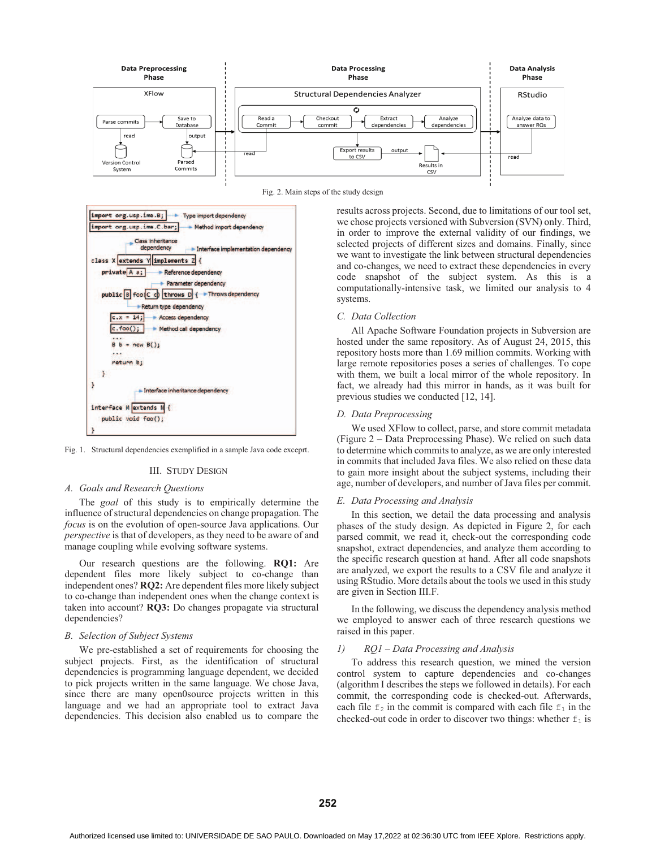





Fig. 1. Structural dependencies exemplified in a sample Java code exceprt.

# III. STUDY DESIGN

#### *A. Goals and Research Questions*

The *goal* of this study is to empirically determine the influence of structural dependencies on change propagation. The *focus* is on the evolution of open-source Java applications. Our *perspective* is that of developers, as they need to be aware of and manage coupling while evolving software systems.

Our research questions are the following. **RQ1:** Are dependent files more likely subject to co-change than independent ones? **RQ2:** Are dependent files more likely subject to co-change than independent ones when the change context is taken into account? **RQ3:** Do changes propagate via structural dependencies?

#### *B. Selection of Subject Systems*

We pre-established a set of requirements for choosing the subject projects. First, as the identification of structural dependencies is programming language dependent, we decided to pick projects written in the same language. We chose Java, since there are many open0source projects written in this language and we had an appropriate tool to extract Java dependencies. This decision also enabled us to compare the

results across projects. Second, due to limitations of our tool set, we chose projects versioned with Subversion (SVN) only. Third, in order to improve the external validity of our findings, we selected projects of different sizes and domains. Finally, since we want to investigate the link between structural dependencies and co-changes, we need to extract these dependencies in every code snapshot of the subject system. As this is a computationally-intensive task, we limited our analysis to 4 systems.

## *C. Data Collection*

 All Apache Software Foundation projects in Subversion are hosted under the same repository. As of August 24, 2015, this repository hosts more than 1.69 million commits. Working with large remote repositories poses a series of challenges. To cope with them, we built a local mirror of the whole repository. In fact, we already had this mirror in hands, as it was built for previous studies we conducted [12, 14].

#### *D. Data Preprocessing*

 We used XFlow to collect, parse, and store commit metadata (Figure 2 – Data Preprocessing Phase). We relied on such data to determine which commits to analyze, as we are only interested in commits that included Java files. We also relied on these data to gain more insight about the subject systems, including their age, number of developers, and number of Java files per commit.

#### *E. Data Processing and Analysis*

In this section, we detail the data processing and analysis phases of the study design. As depicted in Figure 2, for each parsed commit, we read it, check-out the corresponding code snapshot, extract dependencies, and analyze them according to the specific research question at hand. After all code snapshots are analyzed, we export the results to a CSV file and analyze it using RStudio. More details about the tools we used in this study are given in Section III.F.

In the following, we discuss the dependency analysis method we employed to answer each of three research questions we raised in this paper.

#### *1) RQ1 – Data Processing and Analysis*

 To address this research question, we mined the version control system to capture dependencies and co-changes (algorithm I describes the steps we followed in details). For each commit, the corresponding code is checked-out. Afterwards, each file  $f_2$  in the commit is compared with each file  $f_1$  in the checked-out code in order to discover two things: whether  $f_1$  is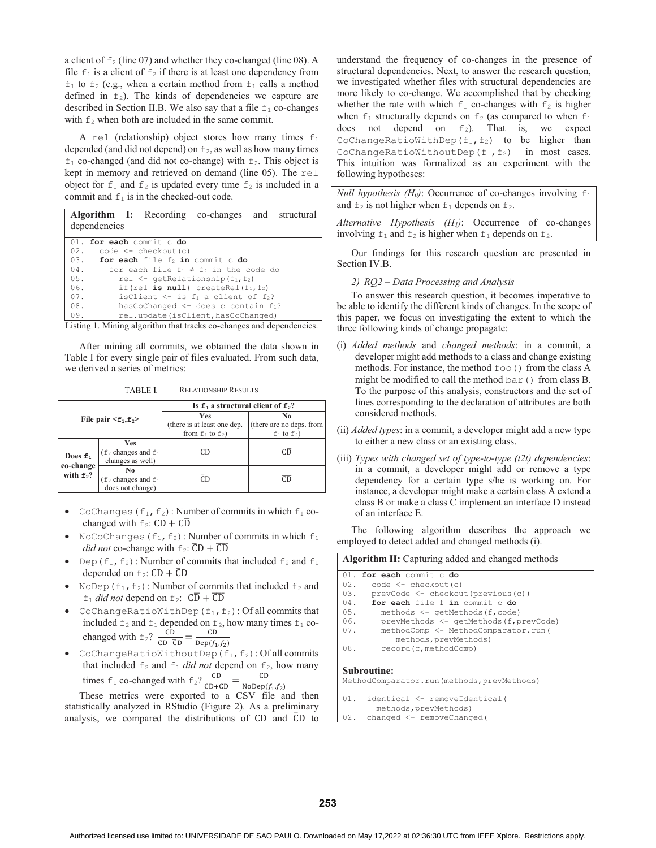a client of  $f_2$  (line 07) and whether they co-changed (line 08). A file  $f_1$  is a client of  $f_2$  if there is at least one dependency from  $f_1$  to  $f_2$  (e.g., when a certain method from  $f_1$  calls a method defined in  $f_2$ ). The kinds of dependencies we capture are described in Section II.B. We also say that a file  $f_1$  co-changes with  $f_2$  when both are included in the same commit.

A rel (relationship) object stores how many times  $f_1$ depended (and did not depend) on  $f_2$ , as well as how many times  $f_1$  co-changed (and did not co-change) with  $f_2$ . This object is kept in memory and retrieved on demand (line 05). The rel object for  $f_1$  and  $f_2$  is updated every time  $f_2$  is included in a commit and  $f_1$  is in the checked-out code.

|     | <b>Algorithm I:</b> Recording co-changes and structural       |
|-----|---------------------------------------------------------------|
|     | dependencies                                                  |
|     | 01. for each commit c do                                      |
|     | $02.$ code $\leq$ checkout (c)                                |
|     | 03. <b>for each</b> file $f_2$ in commit c do                 |
| 04. | for each file $f_1 \neq f_2$ in the code do                   |
| 05. | rel $\leq$ qetRelationship (f <sub>1</sub> , f <sub>2</sub> ) |
| 06. | if (rel is null) createRel $(f_1, f_2)$                       |
| 07. | isClient $\leq -$ is $f_1$ a client of $f_2$ ?                |
| 08. | hasCoChanged $\leq$ does c contain $f_1$ ?                    |
| 09. | rel.update(isClient, hasCoChanged)                            |

Listing 1. Mining algorithm that tracks co-changes and dependencies.

After mining all commits, we obtained the data shown in Table I for every single pair of files evaluated. From such data, we derived a series of metrics:

TABLE I. RELATIONSHIP RESULTS

|                           |                                                                | Is $f_1$ a structural client of $f_2$ ?                            |                                                    |  |  |  |
|---------------------------|----------------------------------------------------------------|--------------------------------------------------------------------|----------------------------------------------------|--|--|--|
|                           | File pair $\leq f_1, f_2$ >                                    | <b>Yes</b><br>(there is at least one dep.<br>from $f_1$ to $f_2$ ) | No<br>(there are no deps. from<br>$f_1$ to $f_2$ ) |  |  |  |
| Does $f_1$                | Yes<br>$(f_2$ changes and $f_1$<br>changes as well)            | СD                                                                 | CD.                                                |  |  |  |
| co-change<br>with $f_2$ ? | No<br>$(f_2 \text{ changes and } f_1 \text{ does not change})$ | CD.                                                                | CD                                                 |  |  |  |

- -CoChanges ( $f_1$ ,  $f_2$ ): Number of commits in which  $f_1$  cochanged with  $f_2$ :  $CD + C\overline{D}$
- NoCoChanges  $(f_1, f_2)$ : Number of commits in which  $f_1$ *did not* co-change with  $f_2$ :  $\overline{CD}$  +  $\overline{CD}$
- -Dep( $f_1, f_2$ ): Number of commits that included  $f_2$  and  $f_1$ depended on  $f_2$ :  $CD + \overline{CD}$
- NoDep ( $f_1$ ,  $f_2$ ): Number of commits that included  $f_2$  and  $f_1$  *did not* depend on  $f_2$ :  $C\overline{D} + \overline{C}\overline{D}$
- $\bullet$ CoChangeRatioWithDep( $f_1, f_2$ ): Of all commits that included  $f_2$  and  $f_1$  depended on  $f_2$ , how many times  $f_1$  cochanged with  $f_2$ ?  $\frac{CD}{CD + \overline{CD}} = \frac{CD}{Dep(f_1, f_2)}$
- -CoChangeRatioWithoutDep(f<sub>1</sub>,f<sub>2</sub>): Of all commits that included  $f_2$  and  $f_1$  *did not* depend on  $f_2$ , how many times  $f_1$  co-changed with  $f_2$ ?  $\frac{CD}{CD+CD} = \frac{CD}{N_{\text{ODep}}(f_1, f_2)}$

These metrics were exported to a CSV file and then statistically analyzed in RStudio (Figure 2). As a preliminary analysis, we compared the distributions of  $CD$  and  $\overline{CD}$  to understand the frequency of co-changes in the presence of structural dependencies. Next, to answer the research question, we investigated whether files with structural dependencies are more likely to co-change. We accomplished that by checking whether the rate with which  $f_1$  co-changes with  $f_2$  is higher when  $f_1$  structurally depends on  $f_2$  (as compared to when  $f_1$ does not depend on  $f_2$ ). That is, we expect CoChangeRatioWithDep( $f_1, f_2$ ) to be higher than CoChangeRatioWithoutDep( $f_1, f_2$ ) in most cases. This intuition was formalized as an experiment with the following hypotheses:

*Null hypothesis (H<sub>0</sub>)*: Occurrence of co-changes involving  $f_1$ and  $f_2$  is not higher when  $f_1$  depends on  $f_2$ .

*Alternative Hypothesis (H1)*: Occurrence of co-changes involving  $f_1$  and  $f_2$  is higher when  $f_1$  depends on  $f_2$ .

 Our findings for this research question are presented in Section IV.B.

*2) RQ2 – Data Processing and Analysis* 

 To answer this research question, it becomes imperative to be able to identify the different kinds of changes. In the scope of this paper, we focus on investigating the extent to which the three following kinds of change propagate:

- (i) *Added methods* and *changed methods*: in a commit, a developer might add methods to a class and change existing methods. For instance, the method  $f \circ \circ$  () from the class A might be modified to call the method  $bar($ ) from class B. To the purpose of this analysis, constructors and the set of lines corresponding to the declaration of attributes are both considered methods.
- (ii) *Added types*: in a commit, a developer might add a new type to either a new class or an existing class.
- (iii) *Types with changed set of type-to-type (t2t) dependencies*: in a commit, a developer might add or remove a type dependency for a certain type s/he is working on. For instance, a developer might make a certain class A extend a class B or make a class C implement an interface D instead of an interface E.

 The following algorithm describes the approach we employed to detect added and changed methods (i).

|     | Algorithm II: Capturing added and changed methods                |  |  |  |  |  |  |
|-----|------------------------------------------------------------------|--|--|--|--|--|--|
|     | 01. for each commit c do                                         |  |  |  |  |  |  |
| 02. | $code \leftarrow \text{checkout}(c)$                             |  |  |  |  |  |  |
| 03. | prevCode <- checkout (previous (c))                              |  |  |  |  |  |  |
| 04. | for each file f in commit c do                                   |  |  |  |  |  |  |
| 05. | methods <- qetMethods (f, code)                                  |  |  |  |  |  |  |
| 06. | prevMethods <- getMethods (f, prevCode)                          |  |  |  |  |  |  |
| 07. | methodComp <- MethodComparator.run (<br>methods, prevMethods)    |  |  |  |  |  |  |
| 08. | record(c, methodComp)                                            |  |  |  |  |  |  |
|     | <b>Subroutine:</b><br>MethodComparator.run(methods, prevMethods) |  |  |  |  |  |  |
|     | 01. identical <- removeIdentical(<br>methods, prevMethods)       |  |  |  |  |  |  |
| 02. | changed <- removeChanged(                                        |  |  |  |  |  |  |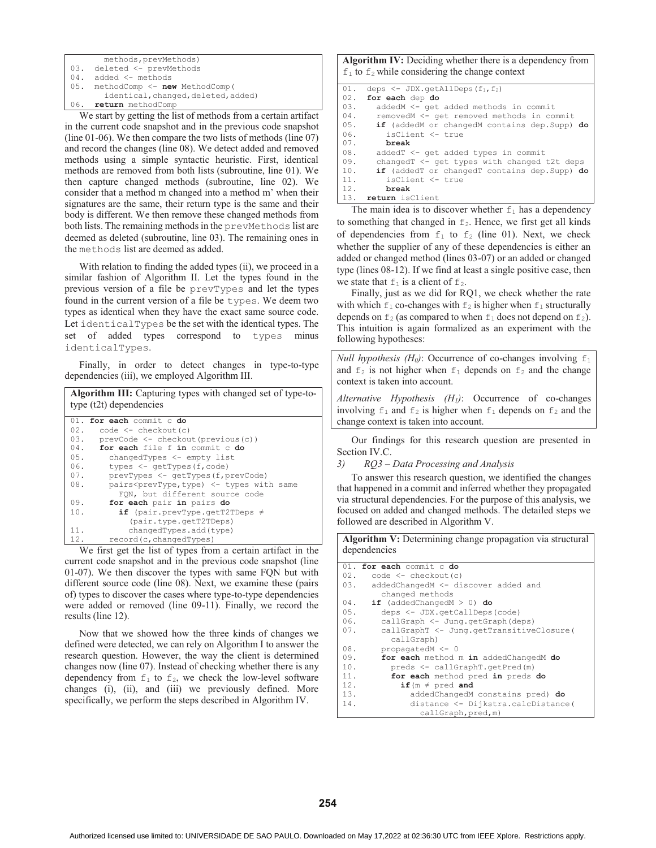| methods, prevMethods)                         |  |  |  |  |  |  |  |
|-----------------------------------------------|--|--|--|--|--|--|--|
| 03. deleted <- prevMethods                    |  |  |  |  |  |  |  |
| $04.$ added $\leq$ methods                    |  |  |  |  |  |  |  |
| $\vert$ 05. methodComp $\leq$ new MethodComp( |  |  |  |  |  |  |  |
| identical, changed, deleted, added)           |  |  |  |  |  |  |  |
| 06. return methodComp                         |  |  |  |  |  |  |  |

We start by getting the list of methods from a certain artifact in the current code snapshot and in the previous code snapshot (line 01-06). We then compare the two lists of methods (line 07) and record the changes (line 08). We detect added and removed methods using a simple syntactic heuristic. First, identical methods are removed from both lists (subroutine, line 01). We then capture changed methods (subroutine, line 02). We consider that a method m changed into a method m' when their signatures are the same, their return type is the same and their body is different. We then remove these changed methods from both lists. The remaining methods in the prevMethods list are deemed as deleted (subroutine, line 03). The remaining ones in the methods list are deemed as added.

With relation to finding the added types (ii), we proceed in a similar fashion of Algorithm II. Let the types found in the previous version of a file be prevTypes and let the types found in the current version of a file be types. We deem two types as identical when they have the exact same source code. Let identicalTypes be the set with the identical types. The set of added types correspond to types minus identicalTypes.

Finally, in order to detect changes in type-to-type dependencies (iii), we employed Algorithm III.

|     | Algorithm III: Capturing types with changed set of type-to-<br>type $(t2t)$ dependencies |
|-----|------------------------------------------------------------------------------------------|
|     | 01. for each commit c do                                                                 |
| 02. | $code \leftarrow \text{checkout}(c)$                                                     |
| 03. | prevCode <- checkout (previous (c))                                                      |
| 04. | for each file f in commit c do                                                           |
| 05. | changedTypes <- empty list                                                               |
| 06. | types $\leq$ qetTypes (f, code)                                                          |
| 07. | prevTypes <- qetTypes (f, prevCode)                                                      |
| 08. | pairs <prevtype, <-="" same<="" th="" type)="" types="" with=""></prevtype,>             |
|     | FON, but different source code                                                           |
| 09. | for each pair in pairs do                                                                |
| 10. | if (pair.prevType.getT2TDeps $\neq$                                                      |
|     | (pair.type.getT2TDeps)                                                                   |
| 11. | changedTypes.add(type)                                                                   |
| 12. | record (c, changedTypes)                                                                 |

We first get the list of types from a certain artifact in the current code snapshot and in the previous code snapshot (line 01-07). We then discover the types with same FQN but with different source code (line 08). Next, we examine these (pairs of) types to discover the cases where type-to-type dependencies were added or removed (line 09-11). Finally, we record the results (line 12).

Now that we showed how the three kinds of changes we defined were detected, we can rely on Algorithm I to answer the research question. However, the way the client is determined changes now (line 07). Instead of checking whether there is any dependency from  $f_1$  to  $f_2$ , we check the low-level software changes (i), (ii), and (iii) we previously defined. More specifically, we perform the steps described in Algorithm IV.

**Algorithm IV:** Deciding whether there is a dependency from  $f_1$  to  $f_2$  while considering the change context

| 01. | deps $\leq$ JDX. getAllDeps (f <sub>1</sub> , f <sub>2</sub> ) |
|-----|----------------------------------------------------------------|
| 02. | for each dep do                                                |
| 03. | addedM <- get added methods in commit                          |
| 04. | removedM <- get removed methods in commit                      |
| 05. | if (addedM or changedM contains dep. Supp) do                  |
| 06. | isClient <- true                                               |
| 07. | break                                                          |
| 08. | addedT <- get added types in commit                            |
| 09. | changedT $\leq$ qet types with changed t2t deps                |
| 10. | if (addedT or changedT contains dep. Supp) do                  |
| 11. | isClient <- true                                               |
| 12. | break                                                          |
| 13. | return isClient                                                |

The main idea is to discover whether  $f_1$  has a dependency to something that changed in  $f_2$ . Hence, we first get all kinds of dependencies from  $f_1$  to  $f_2$  (line 01). Next, we check whether the supplier of any of these dependencies is either an added or changed method (lines 03-07) or an added or changed type (lines 08-12). If we find at least a single positive case, then we state that  $f_1$  is a client of  $f_2$ .

Finally, just as we did for RQ1, we check whether the rate with which  $f_1$  co-changes with  $f_2$  is higher when  $f_1$  structurally depends on  $f_2$  (as compared to when  $f_1$  does not depend on  $f_2$ ). This intuition is again formalized as an experiment with the following hypotheses:

*Null hypothesis (H<sub>0</sub>)*: Occurrence of co-changes involving  $f_1$ and  $f_2$  is not higher when  $f_1$  depends on  $f_2$  and the change context is taken into account.

*Alternative Hypothesis (H1)*: Occurrence of co-changes involving  $f_1$  and  $f_2$  is higher when  $f_1$  depends on  $f_2$  and the change context is taken into account.

Our findings for this research question are presented in Section IV.C.

*3) RQ3 – Data Processing and Analysis* 

To answer this research question, we identified the changes that happened in a commit and inferred whether they propagated via structural dependencies. For the purpose of this analysis, we focused on added and changed methods. The detailed steps we followed are described in Algorithm V.

**Algorithm V:** Determining change propagation via structural dependencies

|     | 01. for each commit c do                 |
|-----|------------------------------------------|
| 02. | $code < -$ <i>checkout</i> (c)           |
| 03. | addedChangedM <- discover added and      |
|     | changed methods                          |
| 04. | if (addedChangedM $>$ 0) do              |
| 05. | deps <- JDX.getCallDeps(code)            |
| 06. | callGraph <- Jung.getGraph(deps)         |
| 07. | callGraphT <- Jung.getTransitiveClosure( |
|     | callGraph)                               |
| 08. | $propagatedM < -0$                       |
| 09. | for each method m in addedChangedM do    |
| 10. | preds <- callGraphT.getPred(m)           |
| 11. | for each method pred in preds do         |
| 12. | if ( $m \neq$ pred and                   |
| 13. | addedChangedM constains pred) do         |
| 14. | distance <- Dijkstra.calcDistance(       |
|     | callGraph, pred, m)                      |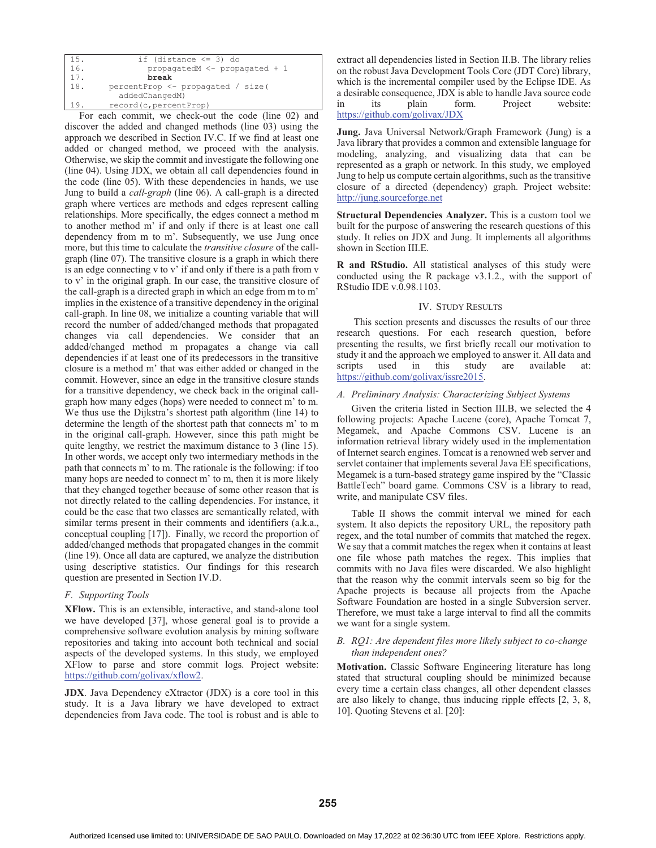| 15. | if (distance $\leq$ 3) do         |
|-----|-----------------------------------|
| 16. | propagatedM <- propagated + 1     |
| 17. | break                             |
| 18. | percentProp <- propagated / size( |
|     | addedChangedM)                    |
| 19  | record (c, percent Prop)          |

For each commit, we check-out the code (line 02) and discover the added and changed methods (line 03) using the approach we described in Section IV.C. If we find at least one added or changed method, we proceed with the analysis. Otherwise, we skip the commit and investigate the following one (line 04). Using JDX, we obtain all call dependencies found in the code (line 05). With these dependencies in hands, we use Jung to build a *call-graph* (line 06). A call-graph is a directed graph where vertices are methods and edges represent calling relationships. More specifically, the edges connect a method m to another method m' if and only if there is at least one call dependency from m to m'. Subsequently, we use Jung once more, but this time to calculate the *transitive closure* of the callgraph (line 07). The transitive closure is a graph in which there is an edge connecting v to v' if and only if there is a path from v to v' in the original graph. In our case, the transitive closure of the call-graph is a directed graph in which an edge from m to m' implies in the existence of a transitive dependency in the original call-graph. In line 08, we initialize a counting variable that will record the number of added/changed methods that propagated changes via call dependencies. We consider that an added/changed method m propagates a change via call dependencies if at least one of its predecessors in the transitive closure is a method m' that was either added or changed in the commit. However, since an edge in the transitive closure stands for a transitive dependency, we check back in the original callgraph how many edges (hops) were needed to connect m' to m. We thus use the Dijkstra's shortest path algorithm (line 14) to determine the length of the shortest path that connects m' to m in the original call-graph. However, since this path might be quite lengthy, we restrict the maximum distance to 3 (line 15). In other words, we accept only two intermediary methods in the path that connects m' to m. The rationale is the following: if too many hops are needed to connect m' to m, then it is more likely that they changed together because of some other reason that is not directly related to the calling dependencies. For instance, it could be the case that two classes are semantically related, with similar terms present in their comments and identifiers (a.k.a., conceptual coupling [17]). Finally, we record the proportion of added/changed methods that propagated changes in the commit (line 19). Once all data are captured, we analyze the distribution using descriptive statistics. Our findings for this research question are presented in Section IV.D.

# *F. Supporting Tools*

**XFlow.** This is an extensible, interactive, and stand-alone tool we have developed [37], whose general goal is to provide a comprehensive software evolution analysis by mining software repositories and taking into account both technical and social aspects of the developed systems. In this study, we employed XFlow to parse and store commit logs. Project website: https://github.com/golivax/xflow2.

**JDX**. Java Dependency eXtractor (JDX) is a core tool in this study. It is a Java library we have developed to extract dependencies from Java code. The tool is robust and is able to

extract all dependencies listed in Section II.B. The library relies on the robust Java Development Tools Core (JDT Core) library, which is the incremental compiler used by the Eclipse IDE. As a desirable consequence, JDX is able to handle Java source code in its plain form. Project website: https://github.com/golivax/JDX

**Jung.** Java Universal Network/Graph Framework (Jung) is a Java library that provides a common and extensible language for modeling, analyzing, and visualizing data that can be represented as a graph or network. In this study, we employed Jung to help us compute certain algorithms, such as the transitive closure of a directed (dependency) graph. Project website: http://jung.sourceforge.net

**Structural Dependencies Analyzer.** This is a custom tool we built for the purpose of answering the research questions of this study. It relies on JDX and Jung. It implements all algorithms shown in Section III.E.

**R and RStudio.** All statistical analyses of this study were conducted using the R package v3.1.2., with the support of RStudio IDE v.0.98.1103.

# IV. STUDY RESULTS

 This section presents and discusses the results of our three research questions. For each research question, before presenting the results, we first briefly recall our motivation to study it and the approach we employed to answer it. All data and scripts used in this study are available at: https://github.com/golivax/issre2015.

# *A. Preliminary Analysis: Characterizing Subject Systems*

Given the criteria listed in Section III.B, we selected the 4 following projects: Apache Lucene (core), Apache Tomcat 7, Megamek, and Apache Commons CSV. Lucene is an information retrieval library widely used in the implementation of Internet search engines. Tomcat is a renowned web server and servlet container that implements several Java EE specifications, Megamek is a turn-based strategy game inspired by the "Classic BattleTech" board game. Commons CSV is a library to read, write, and manipulate CSV files.

Table II shows the commit interval we mined for each system. It also depicts the repository URL, the repository path regex, and the total number of commits that matched the regex. We say that a commit matches the regex when it contains at least one file whose path matches the regex. This implies that commits with no Java files were discarded. We also highlight that the reason why the commit intervals seem so big for the Apache projects is because all projects from the Apache Software Foundation are hosted in a single Subversion server. Therefore, we must take a large interval to find all the commits we want for a single system.

# *B. RQ1: Are dependent files more likely subject to co-change than independent ones?*

**Motivation.** Classic Software Engineering literature has long stated that structural coupling should be minimized because every time a certain class changes, all other dependent classes are also likely to change, thus inducing ripple effects [2, 3, 8, 10]. Quoting Stevens et al. [20]: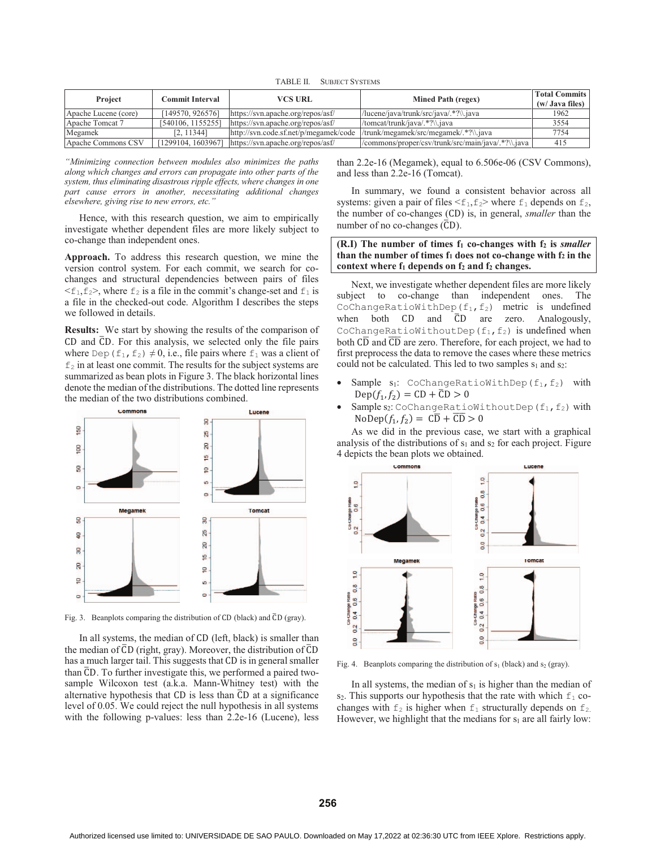TABLE II. SUBJECT SYSTEMS

| Project              | Commit Interval    | VCS URL<br>Mined Path (regex)         |                                                    | <b>Total Commits</b><br>(w/ Java files) |
|----------------------|--------------------|---------------------------------------|----------------------------------------------------|-----------------------------------------|
| Apache Lucene (core) | 149570.9265761     | https://svn.apache.org/repos/asf/     | /lucene/java/trunk/src/java/.*?\\.java             | 1962                                    |
| Apache Tomcat 7      | [540106, 1155255]  | https://syn.apache.org/repos/asf/     | /tomcat/trunk/iava/.*?\\.iava                      | 3554                                    |
| Megamek              | [2, 11344]         | http://syn.code.sf.net/p/megamek/code | /trunk/megamek/src/megamek/.*?\\.java              | 7754                                    |
| Apache Commons CSV   | [1299104, 1603967] | https://svn.apache.org/repos/asf/     | /commons/proper/csv/trunk/src/main/java/.*?\\.java | 415                                     |

*"Minimizing connection between modules also minimizes the paths along which changes and errors can propagate into other parts of the system, thus eliminating disastrous ripple effects, where changes in one part cause errors in another, necessitating additional changes elsewhere, giving rise to new errors, etc."*

Hence, with this research question, we aim to empirically investigate whether dependent files are more likely subject to co-change than independent ones.

**Approach.** To address this research question, we mine the version control system. For each commit, we search for cochanges and structural dependencies between pairs of files  $\leq f_1, f_2$ , where  $f_2$  is a file in the commit's change-set and  $f_1$  is a file in the checked-out code. Algorithm I describes the steps we followed in details.

**Results:** We start by showing the results of the comparison of CD and  $\overline{CD}$ . For this analysis, we selected only the file pairs where Dep ( $f_1, f_2$ )  $\neq 0$ , i.e., file pairs where  $f_1$  was a client of  $f<sub>2</sub>$  in at least one commit. The results for the subject systems are summarized as bean plots in Figure 3. The black horizontal lines denote the median of the distributions. The dotted line represents the median of the two distributions combined.



Fig. 3. Beanplots comparing the distribution of CD (black) and  $\overline{C}D$  (gray).

In all systems, the median of CD (left, black) is smaller than the median of  $\overline{CD}$  (right, gray). Moreover, the distribution of  $\overline{CD}$ has a much larger tail. This suggests that CD is in general smaller than  $\overline{CD}$ . To further investigate this, we performed a paired twosample Wilcoxon test (a.k.a. Mann-Whitney test) with the alternative hypothesis that  $CD$  is less than  $\overline{CD}$  at a significance level of 0.05. We could reject the null hypothesis in all systems with the following p-values: less than 2.2e-16 (Lucene), less than 2.2e-16 (Megamek), equal to 6.506e-06 (CSV Commons), and less than 2.2e-16 (Tomcat).

In summary, we found a consistent behavior across all systems: given a pair of files  $\leq f_1, f_2$  where  $f_1$  depends on  $f_2$ , the number of co-changes (CD) is, in general, *smaller* than the number of no co-changes (CD).

**(R.I)** The number of times  $f_1$  co-changes with  $f_2$  is *smaller* than the number of times  $f_1$  does not co-change with  $f_2$  in the context where  $f_1$  depends on  $f_2$  and  $f_2$  changes.

Next, we investigate whether dependent files are more likely subject to co-change than independent ones. The CoChangeRatioWithDep( $f_1, f_2$ ) metric is undefined when both  $CD$  and  $\overline{CD}$  are zero. Analogously, CoChangeRatioWithoutDep( $f_1, f_2$ ) is undefined when both CD and CD are zero. Therefore, for each project, we had to first preprocess the data to remove the cases where these metrics could not be calculated. This led to two samples  $s_1$  and  $s_2$ :

- -Sample  $s_1$ : CoChangeRatioWithDep(f<sub>1</sub>,f<sub>2</sub>) with  $Dep(f_1, f_2) = CD + \overline{CD} > 0$
- -Sample  $s_2$ : CoChangeRatioWithoutDep(f<sub>1</sub>,f<sub>2</sub>) with  $NoDep(f_1, f_2) = C\overline{D} + \overline{CD} > 0$

As we did in the previous case, we start with a graphical analysis of the distributions of  $s_1$  and  $s_2$  for each project. Figure 4 depicts the bean plots we obtained.



Fig. 4. Beanplots comparing the distribution of  $s_1$  (black) and  $s_2$  (gray).

In all systems, the median of  $s_1$  is higher than the median of  $s_2$ . This supports our hypothesis that the rate with which  $f_1$  cochanges with  $f_2$  is higher when  $f_1$  structurally depends on  $f_2$ . However, we highlight that the medians for  $s_1$  are all fairly low: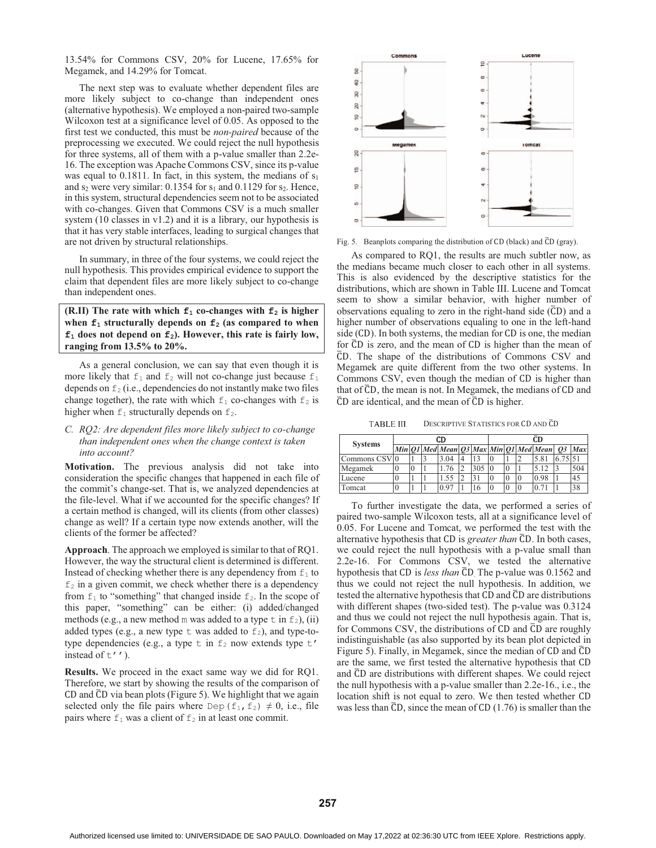13.54% for Commons CSV, 20% for Lucene, 17.65% for Megamek, and 14.29% for Tomcat.

The next step was to evaluate whether dependent files are more likely subject to co-change than independent ones (alternative hypothesis). We employed a non-paired two-sample Wilcoxon test at a significance level of 0.05. As opposed to the first test we conducted, this must be *non-paired* because of the preprocessing we executed. We could reject the null hypothesis for three systems, all of them with a p-value smaller than 2.2e-16. The exception was Apache Commons CSV, since its p-value was equal to  $0.1811$ . In fact, in this system, the medians of  $s<sub>1</sub>$ and  $s_2$  were very similar: 0.1354 for  $s_1$  and 0.1129 for  $s_2$ . Hence, in this system, structural dependencies seem not to be associated with co-changes. Given that Commons CSV is a much smaller system (10 classes in v1.2) and it is a library, our hypothesis is that it has very stable interfaces, leading to surgical changes that are not driven by structural relationships.

In summary, in three of the four systems, we could reject the null hypothesis. This provides empirical evidence to support the claim that dependent files are more likely subject to co-change than independent ones.

# **(R.II)** The rate with which  $\mathbf{f}_1$  co-changes with  $\mathbf{f}_2$  is higher when  $f_1$  structurally depends on  $f_2$  (as compared to when **f1 does not depend on f2). However, this rate is fairly low, ranging from 13.5% to 20%.**

As a general conclusion, we can say that even though it is more likely that  $f_1$  and  $f_2$  will not co-change just because  $f_1$ depends on  $f_2$  (i.e., dependencies do not instantly make two files change together), the rate with which  $f_1$  co-changes with  $f_2$  is higher when  $f_1$  structurally depends on  $f_2$ .

# *C. RQ2: Are dependent files more likely subject to co-change than independent ones when the change context is taken into account?*

**Motivation.** The previous analysis did not take into consideration the specific changes that happened in each file of the commit's change-set. That is, we analyzed dependencies at the file-level. What if we accounted for the specific changes? If a certain method is changed, will its clients (from other classes) change as well? If a certain type now extends another, will the clients of the former be affected?

**Approach**. The approach we employed is similar to that of RQ1. However, the way the structural client is determined is different. Instead of checking whether there is any dependency from  $f_1$  to  $f_2$  in a given commit, we check whether there is a dependency from  $f_1$  to "something" that changed inside  $f_2$ . In the scope of this paper, "something" can be either: (i) added/changed methods (e.g., a new method m was added to a type  $\pm$  in  $f_2$ ), (ii) added types (e.g., a new type  $t$  was added to  $f_2$ ), and type-totype dependencies (e.g., a type  $t$  in  $f_2$  now extends type  $t'$ instead of  $t'$ ').

**Results.** We proceed in the exact same way we did for RQ1. Therefore, we start by showing the results of the comparison of CD and  $\overline{CD}$  via bean plots (Figure 5). We highlight that we again selected only the file pairs where Dep( $f_1, f_2$ )  $\neq 0$ , i.e., file pairs where  $f_1$  was a client of  $f_2$  in at least one commit.



Fig. 5. Beanplots comparing the distribution of CD (black) and  $\overline{C}D$  (gray).

As compared to RQ1, the results are much subtler now, as the medians became much closer to each other in all systems. This is also evidenced by the descriptive statistics for the distributions, which are shown in Table III. Lucene and Tomcat seem to show a similar behavior, with higher number of observations equaling to zero in the right-hand side  $(\overline{CD})$  and a higher number of observations equaling to one in the left-hand side (CD). In both systems, the median for CD is one, the median for CD is zero, and the mean of CD is higher than the mean of ത. The shape of the distributions of Commons CSV and Megamek are quite different from the two other systems. In Commons CSV, even though the median of CD is higher than that of  $\overline{CD}$ , the mean is not. In Megamek, the medians of  $CD$  and  $\overline{CD}$  are identical, and the mean of  $\overline{CD}$  is higher.

TABLE III. DESCRIPTIVE STATISTICS FOR CD AND CD

| <b>Systems</b>           | CD |   |  |      | CD. |  |   |          |                                               |  |     |
|--------------------------|----|---|--|------|-----|--|---|----------|-----------------------------------------------|--|-----|
|                          |    |   |  |      |     |  |   |          | Min Q1 Med Mean Q3 Max Min Q1 Med Mean Q3 Max |  |     |
| Commons CSV <sub>0</sub> |    |   |  | 3.04 |     |  |   |          | 5.8                                           |  |     |
| Megamek                  |    | U |  | 76   | 305 |  | U |          |                                               |  | 504 |
| Lucene                   |    |   |  | .55  |     |  | U | $\theta$ | 0.98                                          |  | 45  |
| Tomcat                   |    |   |  | 0.97 | 10  |  | U | 10       |                                               |  | 38  |

To further investigate the data, we performed a series of paired two-sample Wilcoxon tests, all at a significance level of 0.05. For Lucene and Tomcat, we performed the test with the alternative hypothesis that CD is *greater than* CD. In both cases, we could reject the null hypothesis with a p-value small than 2.2e-16. For Commons CSV, we tested the alternative hypothesis that CD is *less than*  $\overline{CD}$ . The p-value was 0.1562 and thus we could not reject the null hypothesis. In addition, we tested the alternative hypothesis that CD and  $\overline{C}D$  are distributions with different shapes (two-sided test). The p-value was 0.3124 and thus we could not reject the null hypothesis again. That is, for Commons CSV, the distributions of  $CD$  and  $\overline{CD}$  are roughly indistinguishable (as also supported by its bean plot depicted in Figure 5). Finally, in Megamek, since the median of CD and  $\overline{CD}$ are the same, we first tested the alternative hypothesis that and  $\overline{CD}$  are distributions with different shapes. We could reject the null hypothesis with a p-value smaller than 2.2e-16., i.e., the location shift is not equal to zero. We then tested whether was less than  $\overline{CD}$ , since the mean of  $CD$  (1.76) is smaller than the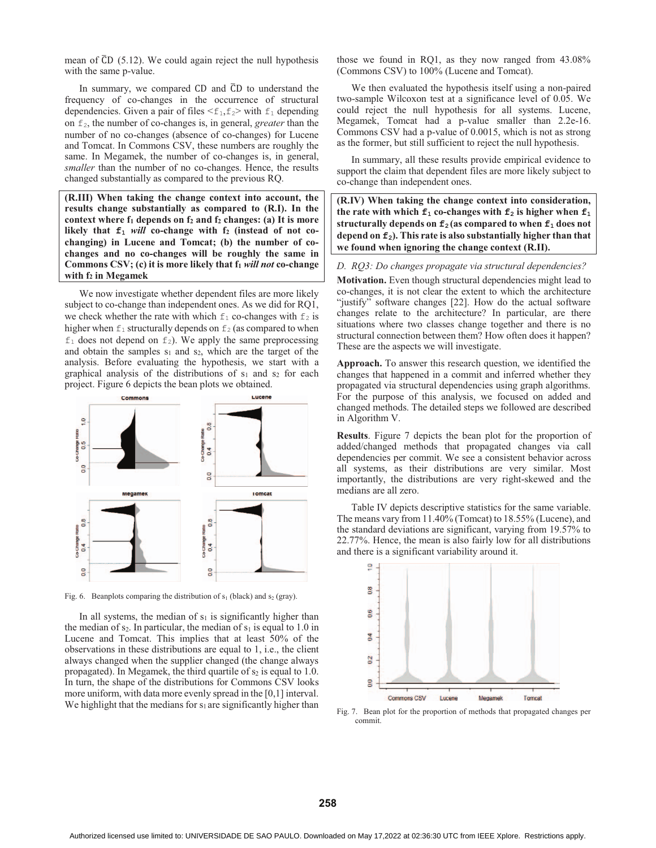mean of  $\overline{CD}$  (5.12). We could again reject the null hypothesis with the same p-value.

In summary, we compared  $CD$  and  $\overline{CD}$  to understand the frequency of co-changes in the occurrence of structural dependencies. Given a pair of files  $\leq f_1, f_2$  with  $f_1$  depending on f2, the number of co-changes is, in general, *greater* than the number of no co-changes (absence of co-changes) for Lucene and Tomcat. In Commons CSV, these numbers are roughly the same. In Megamek, the number of co-changes is, in general, *smaller* than the number of no co-changes. Hence, the results changed substantially as compared to the previous RQ.

**(R.III) When taking the change context into account, the results change substantially as compared to (R.I). In the**  context where  $f_1$  depends on  $f_2$  and  $f_2$  changes: (a) It is more likely that  $f_1$  *will* co-change with  $f_2$  (instead of not co**changing) in Lucene and Tomcat; (b) the number of cochanges and no co-changes will be roughly the same in Commons CSV; (c) it is more likely that**  $f_1$ *will not* **co-change** with  $f_2$  in Megamek

We now investigate whether dependent files are more likely subject to co-change than independent ones. As we did for RQ1, we check whether the rate with which  $f_1$  co-changes with  $f_2$  is higher when  $f_1$  structurally depends on  $f_2$  (as compared to when  $f_1$  does not depend on  $f_2$ ). We apply the same preprocessing and obtain the samples  $s_1$  and  $s_2$ , which are the target of the analysis. Before evaluating the hypothesis, we start with a graphical analysis of the distributions of  $s_1$  and  $s_2$  for each project. Figure 6 depicts the bean plots we obtained.



Fig. 6. Beanplots comparing the distribution of  $s_1$  (black) and  $s_2$  (gray).

In all systems, the median of  $s_1$  is significantly higher than the median of  $s_2$ . In particular, the median of  $s_1$  is equal to 1.0 in Lucene and Tomcat. This implies that at least 50% of the observations in these distributions are equal to 1, i.e., the client always changed when the supplier changed (the change always propagated). In Megamek, the third quartile of  $s_2$  is equal to 1.0. In turn, the shape of the distributions for Commons CSV looks more uniform, with data more evenly spread in the [0,1] interval. We highlight that the medians for  $s_1$  are significantly higher than those we found in RQ1, as they now ranged from 43.08% (Commons CSV) to 100% (Lucene and Tomcat).

We then evaluated the hypothesis itself using a non-paired two-sample Wilcoxon test at a significance level of 0.05. We could reject the null hypothesis for all systems. Lucene, Megamek, Tomcat had a p-value smaller than 2.2e-16. Commons CSV had a p-value of 0.0015, which is not as strong as the former, but still sufficient to reject the null hypothesis.

In summary, all these results provide empirical evidence to support the claim that dependent files are more likely subject to co-change than independent ones.

**(R.IV) When taking the change context into consideration,**  the rate with which  $f_1$  co-changes with  $f_2$  is higher when  $f_1$ **structurally depends on**  $f_2$  **(as compared to when**  $f_1$  **does not** depend on **f**<sub>2</sub>). This rate is also substantially higher than that **we found when ignoring the change context (R.II).** 

*D. RQ3: Do changes propagate via structural dependencies?* 

**Motivation.** Even though structural dependencies might lead to co-changes, it is not clear the extent to which the architecture "justify" software changes [22]. How do the actual software changes relate to the architecture? In particular, are there situations where two classes change together and there is no structural connection between them? How often does it happen? These are the aspects we will investigate.

**Approach.** To answer this research question, we identified the changes that happened in a commit and inferred whether they propagated via structural dependencies using graph algorithms. For the purpose of this analysis, we focused on added and changed methods. The detailed steps we followed are described in Algorithm V.

**Results**. Figure 7 depicts the bean plot for the proportion of added/changed methods that propagated changes via call dependencies per commit. We see a consistent behavior across all systems, as their distributions are very similar. Most importantly, the distributions are very right-skewed and the medians are all zero.

Table IV depicts descriptive statistics for the same variable. The means vary from 11.40% (Tomcat) to 18.55% (Lucene), and the standard deviations are significant, varying from 19.57% to 22.77%. Hence, the mean is also fairly low for all distributions and there is a significant variability around it.



Fig. 7. Bean plot for the proportion of methods that propagated changes per commit.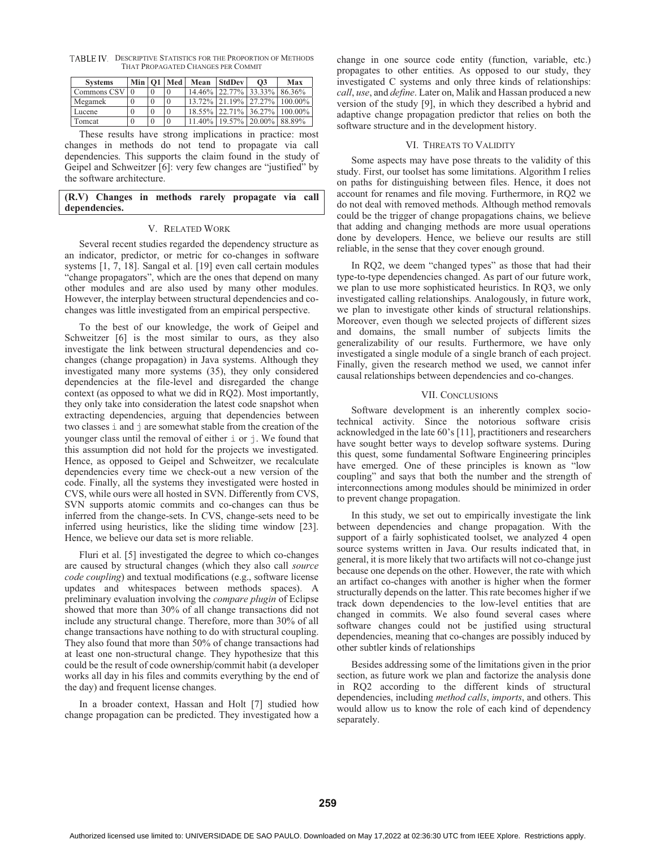TABLE IV. DESCRIPTIVE STATISTICS FOR THE PROPORTION OF METHODS THAT PROPAGATED CHANGES PER COMMIT

| <b>Systems</b> |              | Min   O1   Med | Mean   | <b>StdDev</b>        | O <sub>3</sub> | Max     |
|----------------|--------------|----------------|--------|----------------------|----------------|---------|
| Commons CSV    |              |                |        | 14.46% 22.77% 33.33% |                | 86.36%  |
| Megamek        |              |                |        | 13.72% 21.19% 27.27% |                | 100.00% |
| Lucene         | $\theta$     |                |        | 18.55% 22.71% 36.27% |                | 100.00% |
| Tomcat         | $\mathbf{0}$ |                | 11.40% | 19.57% 20.00% 88.89% |                |         |

These results have strong implications in practice: most changes in methods do not tend to propagate via call dependencies. This supports the claim found in the study of Geipel and Schweitzer [6]: very few changes are "justified" by the software architecture.

# **(R.V) Changes in methods rarely propagate via call dependencies.**

# V. RELATED WORK

Several recent studies regarded the dependency structure as an indicator, predictor, or metric for co-changes in software systems [1, 7, 18]. Sangal et al. [19] even call certain modules "change propagators", which are the ones that depend on many other modules and are also used by many other modules. However, the interplay between structural dependencies and cochanges was little investigated from an empirical perspective.

To the best of our knowledge, the work of Geipel and Schweitzer [6] is the most similar to ours, as they also investigate the link between structural dependencies and cochanges (change propagation) in Java systems. Although they investigated many more systems (35), they only considered dependencies at the file-level and disregarded the change context (as opposed to what we did in RQ2). Most importantly, they only take into consideration the latest code snapshot when extracting dependencies, arguing that dependencies between two classes  $\pm$  and  $\pm$  are somewhat stable from the creation of the younger class until the removal of either  $\pm$  or  $\pm$ . We found that this assumption did not hold for the projects we investigated. Hence, as opposed to Geipel and Schweitzer, we recalculate dependencies every time we check-out a new version of the code. Finally, all the systems they investigated were hosted in CVS, while ours were all hosted in SVN. Differently from CVS, SVN supports atomic commits and co-changes can thus be inferred from the change-sets. In CVS, change-sets need to be inferred using heuristics, like the sliding time window [23]. Hence, we believe our data set is more reliable.

Fluri et al. [5] investigated the degree to which co-changes are caused by structural changes (which they also call *source code coupling*) and textual modifications (e.g., software license updates and whitespaces between methods spaces). A preliminary evaluation involving the *compare plugin* of Eclipse showed that more than 30% of all change transactions did not include any structural change. Therefore, more than 30% of all change transactions have nothing to do with structural coupling. They also found that more than 50% of change transactions had at least one non-structural change. They hypothesize that this could be the result of code ownership/commit habit (a developer works all day in his files and commits everything by the end of the day) and frequent license changes.

In a broader context, Hassan and Holt [7] studied how change propagation can be predicted. They investigated how a change in one source code entity (function, variable, etc.) propagates to other entities. As opposed to our study, they investigated C systems and only three kinds of relationships: *call*, *use*, and *define*. Later on, Malik and Hassan produced a new version of the study [9], in which they described a hybrid and adaptive change propagation predictor that relies on both the software structure and in the development history.

#### VI. THREATS TO VALIDITY

Some aspects may have pose threats to the validity of this study. First, our toolset has some limitations. Algorithm I relies on paths for distinguishing between files. Hence, it does not account for renames and file moving. Furthermore, in RQ2 we do not deal with removed methods. Although method removals could be the trigger of change propagations chains, we believe that adding and changing methods are more usual operations done by developers. Hence, we believe our results are still reliable, in the sense that they cover enough ground.

In RQ2, we deem "changed types" as those that had their type-to-type dependencies changed. As part of our future work, we plan to use more sophisticated heuristics. In RQ3, we only investigated calling relationships. Analogously, in future work, we plan to investigate other kinds of structural relationships. Moreover, even though we selected projects of different sizes and domains, the small number of subjects limits the generalizability of our results. Furthermore, we have only investigated a single module of a single branch of each project. Finally, given the research method we used, we cannot infer causal relationships between dependencies and co-changes.

#### VII. CONCLUSIONS

Software development is an inherently complex sociotechnical activity. Since the notorious software crisis acknowledged in the late 60's [11], practitioners and researchers have sought better ways to develop software systems. During this quest, some fundamental Software Engineering principles have emerged. One of these principles is known as "low coupling" and says that both the number and the strength of interconnections among modules should be minimized in order to prevent change propagation.

In this study, we set out to empirically investigate the link between dependencies and change propagation. With the support of a fairly sophisticated toolset, we analyzed 4 open source systems written in Java. Our results indicated that, in general, it is more likely that two artifacts will not co-change just because one depends on the other. However, the rate with which an artifact co-changes with another is higher when the former structurally depends on the latter. This rate becomes higher if we track down dependencies to the low-level entities that are changed in commits. We also found several cases where software changes could not be justified using structural dependencies, meaning that co-changes are possibly induced by other subtler kinds of relationships

Besides addressing some of the limitations given in the prior section, as future work we plan and factorize the analysis done in RQ2 according to the different kinds of structural dependencies, including *method calls*, *imports*, and others. This would allow us to know the role of each kind of dependency separately.